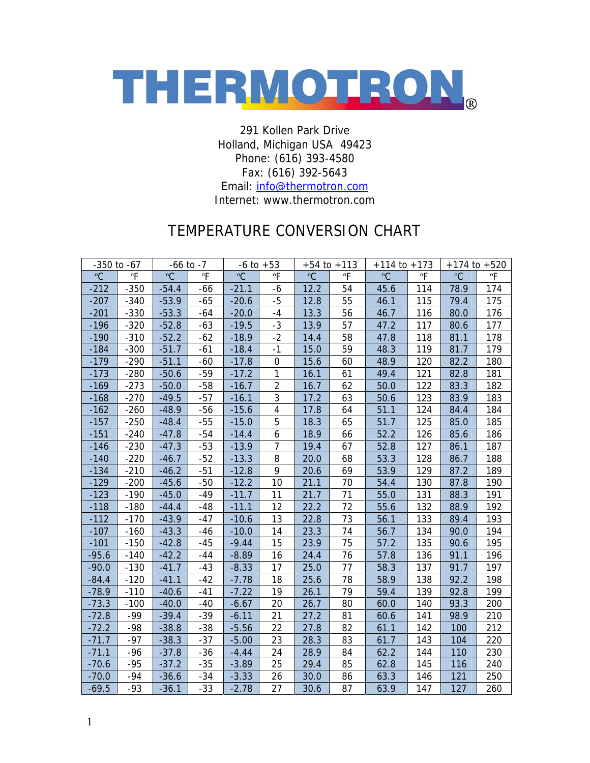

291 Kollen Park Drive Holland, Michigan USA 49423 Phone: (616) 393-4580 Fax: (616) 392-5643

Email: [info@thermotron.com](mailto:info@thermotron.com)

## Internet: www.thermotron.com

## TEMPERATURE CONVERSION CHART

| $-350$ to $-67$ |                | $-66$ to $-7$ |                          | $-6$ to $+53$ |                         | $+54$ to $+113$ |    | $+114$ to $+173$ |     | $+174$ to $+520$ |     |
|-----------------|----------------|---------------|--------------------------|---------------|-------------------------|-----------------|----|------------------|-----|------------------|-----|
| °C              | $\overline{P}$ | °C            | $\overline{\phantom{a}}$ | °C            | °F                      | °C              | °F | °C               | °F  | °C               | °F  |
| $-212$          | $-350$         | $-54.4$       | $-66$                    | $-21.1$       | -6                      | 12.2            | 54 | 45.6             | 114 | 78.9             | 174 |
| $-207$          | $-340$         | $-53.9$       | $-65$                    | $-20.6$       | $-5$                    | 12.8            | 55 | 46.1             | 115 | 79.4             | 175 |
| $-201$          | $-330$         | $-53.3$       | $-64$                    | $-20.0$       | $-4$                    | 13.3            | 56 | 46.7             | 116 | 80.0             | 176 |
| $-196$          | $-320$         | $-52.8$       | $-63$                    | $-19.5$       | $-3$                    | 13.9            | 57 | 47.2             | 117 | 80.6             | 177 |
| $-190$          | $-310$         | $-52.2$       | $-62$                    | $-18.9$       | $-2$                    | 14.4            | 58 | 47.8             | 118 | 81.1             | 178 |
| $-184$          | $-300$         | $-51.7$       | $-61$                    | $-18.4$       | $-1$                    | 15.0            | 59 | 48.3             | 119 | 81.7             | 179 |
| $-179$          | $-290$         | $-51.1$       | $-60$                    | $-17.8$       | $\boldsymbol{0}$        | 15.6            | 60 | 48.9             | 120 | 82.2             | 180 |
| $-173$          | $-280$         | $-50.6$       | $-59$                    | $-17.2$       | $\mathbf{1}$            | 16.1            | 61 | 49.4             | 121 | 82.8             | 181 |
| $-169$          | $-273$         | $-50.0$       | $-58$                    | $-16.7$       | $\overline{2}$          | 16.7            | 62 | 50.0             | 122 | 83.3             | 182 |
| $-168$          | $-270$         | $-49.5$       | $-57$                    | $-16.1$       | 3                       | 17.2            | 63 | 50.6             | 123 | 83.9             | 183 |
| $-162$          | $-260$         | $-48.9$       | $-56$                    | $-15.6$       | $\overline{\mathbf{4}}$ | 17.8            | 64 | 51.1             | 124 | 84.4             | 184 |
| $-157$          | $-250$         | $-48.4$       | $-55$                    | $-15.0$       | 5                       | 18.3            | 65 | 51.7             | 125 | 85.0             | 185 |
| $-151$          | $-240$         | $-47.8$       | $-54$                    | $-14.4$       | $\boldsymbol{6}$        | 18.9            | 66 | 52.2             | 126 | 85.6             | 186 |
| $-146$          | $-230$         | $-47.3$       | $-53$                    | $-13.9$       | $\overline{7}$          | 19.4            | 67 | 52.8             | 127 | 86.1             | 187 |
| $-140$          | $-220$         | $-46.7$       | $-52$                    | $-13.3$       | 8                       | 20.0            | 68 | 53.3             | 128 | 86.7             | 188 |
| $-134$          | $-210$         | $-46.2$       | $-51$                    | $-12.8$       | 9                       | 20.6            | 69 | 53.9             | 129 | 87.2             | 189 |
| $-129$          | $-200$         | $-45.6$       | $-50$                    | $-12.2$       | 10                      | 21.1            | 70 | 54.4             | 130 | 87.8             | 190 |
| $-123$          | $-190$         | $-45.0$       | $-49$                    | $-11.7$       | 11                      | 21.7            | 71 | 55.0             | 131 | 88.3             | 191 |
| $-118$          | $-180$         | $-44.4$       | $-48$                    | $-11.1$       | 12                      | 22.2            | 72 | 55.6             | 132 | 88.9             | 192 |
| $-112$          | $-170$         | $-43.9$       | $-47$                    | $-10.6$       | 13                      | 22.8            | 73 | 56.1             | 133 | 89.4             | 193 |
| $-107$          | $-160$         | $-43.3$       | $-46$                    | $-10.0$       | 14                      | 23.3            | 74 | 56.7             | 134 | 90.0             | 194 |
| $-101$          | $-150$         | $-42.8$       | $-45$                    | $-9.44$       | 15                      | 23.9            | 75 | 57.2             | 135 | 90.6             | 195 |
| $-95.6$         | $-140$         | $-42.2$       | $-44$                    | $-8.89$       | 16                      | 24.4            | 76 | 57.8             | 136 | 91.1             | 196 |
| $-90.0$         | $-130$         | $-41.7$       | $-43$                    | $-8.33$       | 17                      | 25.0            | 77 | 58.3             | 137 | 91.7             | 197 |
| $-84.4$         | $-120$         | $-41.1$       | $-42$                    | $-7.78$       | 18                      | 25.6            | 78 | 58.9             | 138 | 92.2             | 198 |
| $-78.9$         | $-110$         | $-40.6$       | $-41$                    | $-7.22$       | 19                      | 26.1            | 79 | 59.4             | 139 | 92.8             | 199 |
| $-73.3$         | $-100$         | $-40.0$       | $-40$                    | $-6.67$       | 20                      | 26.7            | 80 | 60.0             | 140 | 93.3             | 200 |
| $-72.8$         | $-99$          | $-39.4$       | $-39$                    | $-6.11$       | 21                      | 27.2            | 81 | 60.6             | 141 | 98.9             | 210 |
| $-72.2$         | $-98$          | $-38.8$       | $-38$                    | $-5.56$       | 22                      | 27.8            | 82 | 61.1             | 142 | 100              | 212 |
| $-71.7$         | $-97$          | $-38.3$       | $-37$                    | $-5.00$       | 23                      | 28.3            | 83 | 61.7             | 143 | 104              | 220 |
| $-71.1$         | $-96$          | $-37.8$       | $-36$                    | $-4.44$       | 24                      | 28.9            | 84 | 62.2             | 144 | 110              | 230 |
| $-70.6$         | $-95$          | $-37.2$       | $-35$                    | $-3.89$       | 25                      | 29.4            | 85 | 62.8             | 145 | 116              | 240 |
| $-70.0$         | $-94$          | $-36.6$       | $-34$                    | $-3.33$       | 26                      | 30.0            | 86 | 63.3             | 146 | 121              | 250 |
| $-69.5$         | $-93$          | $-36.1$       | $-33$                    | $-2.78$       | 27                      | 30.6            | 87 | 63.9             | 147 | 127              | 260 |